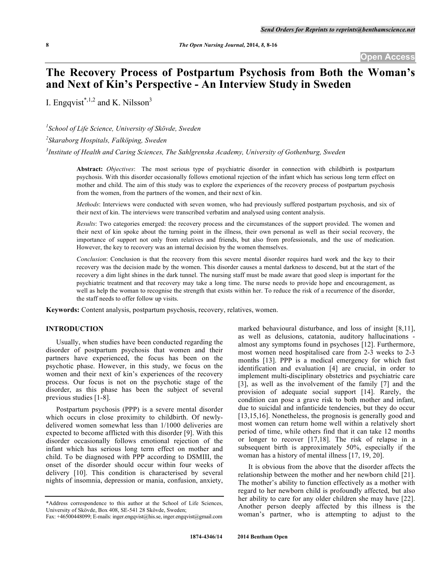# **The Recovery Process of Postpartum Psychosis from Both the Woman's and Next of Kin's Perspective - An Interview Study in Sweden**

I. Engqvist<sup>\*,1,2</sup> and K. Nilsson<sup>3</sup>

*1 School of Life Science, University of Skövde, Sweden*

*2 Skaraborg Hospitals, Falköping, Sweden*

*3 Institute of Health and Caring Sciences, The Sahlgrenska Academy, University of Gothenburg, Sweden*

**Abstract:** *Objectives*: The most serious type of psychiatric disorder in connection with childbirth is postpartum psychosis. With this disorder occasionally follows emotional rejection of the infant which has serious long term effect on mother and child. The aim of this study was to explore the experiences of the recovery process of postpartum psychosis from the women, from the partners of the women, and their next of kin.

*Methods*: Interviews were conducted with seven women, who had previously suffered postpartum psychosis, and six of their next of kin. The interviews were transcribed verbatim and analysed using content analysis.

*Results*: Two categories emerged: the recovery process and the circumstances of the support provided. The women and their next of kin spoke about the turning point in the illness, their own personal as well as their social recovery, the importance of support not only from relatives and friends, but also from professionals, and the use of medication. However, the key to recovery was an internal decision by the women themselves.

*Conclusion*: Conclusion is that the recovery from this severe mental disorder requires hard work and the key to their recovery was the decision made by the women. This disorder causes a mental darkness to descend, but at the start of the recovery a dim light shines in the dark tunnel. The nursing staff must be made aware that good sleep is important for the psychiatric treatment and that recovery may take a long time. The nurse needs to provide hope and encouragement, as well as help the woman to recognise the strength that exists within her. To reduce the risk of a recurrence of the disorder, the staff needs to offer follow up visits.

**Keywords:** Content analysis, postpartum psychosis, recovery, relatives, women.

# **INTRODUCTION**

Usually, when studies have been conducted regarding the disorder of postpartum psychosis that women and their partners have experienced, the focus has been on the psychotic phase. However, in this study, we focus on the women and their next of kin's experiences of the recovery process. Our focus is not on the psychotic stage of the disorder, as this phase has been the subject of several previous studies [1-8].

Postpartum psychosis (PPP) is a severe mental disorder which occurs in close proximity to childbirth. Of newlydelivered women somewhat less than 1/1000 deliveries are expected to become afflicted with this disorder [9]. With this disorder occasionally follows emotional rejection of the infant which has serious long term effect on mother and child. To be diagnosed with PPP according to DSMIII, the onset of the disorder should occur within four weeks of delivery [10]. This condition is characterised by several nights of insomnia, depression or mania, confusion, anxiety,

marked behavioural disturbance, and loss of insight [8,11], as well as delusions, catatonia, auditory hallucinations almost any symptoms found in psychoses [12]. Furthermore, most women need hospitalised care from 2-3 weeks to 2-3 months [13]. PPP is a medical emergency for which fast identification and evaluation [4] are crucial, in order to implement multi-disciplinary obstetrics and psychiatric care [3], as well as the involvement of the family [7] and the provision of adequate social support [14]. Rarely, the condition can pose a grave risk to both mother and infant, due to suicidal and infanticide tendencies, but they do occur [13,15,16]. Nonetheless, the prognosis is generally good and most women can return home well within a relatively short period of time, while others find that it can take 12 months or longer to recover [17,18]. The risk of relapse in a subsequent birth is approximately 50%, especially if the woman has a history of mental illness [17, 19, 20].

It is obvious from the above that the disorder affects the relationship between the mother and her newborn child [21]. The mother's ability to function effectively as a mother with regard to her newborn child is profoundly affected, but also her ability to care for any older children she may have [22]. Another person deeply affected by this illness is the woman's partner, who is attempting to adjust to the

<sup>\*</sup>Address correspondence to this author at the School of Life Sciences, University of Skövde, Box 408, SE-541 28 Skövde, Sweden;

Fax: +46500448099; E-mails: inger.engqvist@his.se, inger.engqvist@gmail.com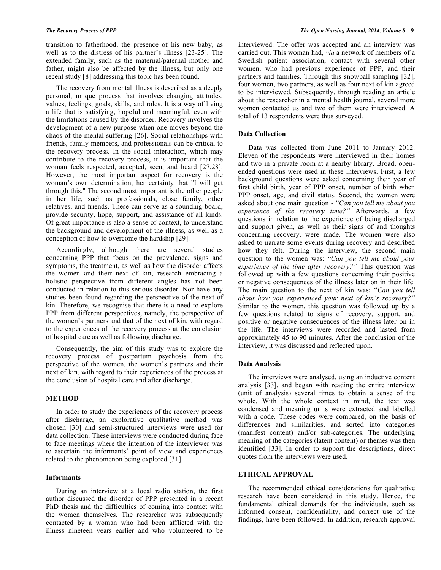transition to fatherhood, the presence of his new baby, as well as to the distress of his partner's illness [23-25]. The extended family, such as the maternal/paternal mother and father, might also be affected by the illness, but only one recent study [8] addressing this topic has been found.

The recovery from mental illness is described as a deeply personal, unique process that involves changing attitudes, values, feelings, goals, skills, and roles. It is a way of living a life that is satisfying, hopeful and meaningful, even with the limitations caused by the disorder. Recovery involves the development of a new purpose when one moves beyond the chaos of the mental suffering [26]. Social relationships with friends, family members, and professionals can be critical to the recovery process. In the social interaction, which may contribute to the recovery process, it is important that the woman feels respected, accepted, seen, and heard [27,28]. However, the most important aspect for recovery is the woman's own determination, her certainty that "I will get through this." The second most important is the other people in her life, such as professionals, close family, other relatives, and friends. These can serve as a sounding board, provide security, hope, support, and assistance of all kinds. Of great importance is also a sense of context, to understand the background and development of the illness, as well as a conception of how to overcome the hardship [29].

Accordingly, although there are several studies concerning PPP that focus on the prevalence, signs and symptoms, the treatment, as well as how the disorder affects the women and their next of kin, research embracing a holistic perspective from different angles has not been conducted in relation to this serious disorder. Nor have any studies been found regarding the perspective of the next of kin. Therefore, we recognise that there is a need to explore PPP from different perspectives, namely, the perspective of the women's partners and that of the next of kin, with regard to the experiences of the recovery process at the conclusion of hospital care as well as following discharge.

Consequently, the aim of this study was to explore the recovery process of postpartum psychosis from the perspective of the women, the women's partners and their next of kin, with regard to their experiences of the process at the conclusion of hospital care and after discharge.

# **METHOD**

In order to study the experiences of the recovery process after discharge, an explorative qualitative method was chosen [30] and semi-structured interviews were used for data collection. These interviews were conducted during face to face meetings where the intention of the interviewer was to ascertain the informants' point of view and experiences related to the phenomenon being explored [31].

# **Informants**

During an interview at a local radio station, the first author discussed the disorder of PPP presented in a recent PhD thesis and the difficulties of coming into contact with the women themselves. The researcher was subsequently contacted by a woman who had been afflicted with the illness nineteen years earlier and who volunteered to be

interviewed. The offer was accepted and an interview was carried out. This woman had, *via* a network of members of a Swedish patient association, contact with several other women, who had previous experience of PPP, and their partners and families. Through this snowball sampling [32], four women, two partners, as well as four next of kin agreed to be interviewed. Subsequently, through reading an article about the researcher in a mental health journal, several more women contacted us and two of them were interviewed. A total of 13 respondents were thus surveyed.

#### **Data Collection**

Data was collected from June 2011 to January 2012. Eleven of the respondents were interviewed in their homes and two in a private room at a nearby library. Broad, openended questions were used in these interviews. First, a few background questions were asked concerning their year of first child birth, year of PPP onset, number of birth when PPP onset, age, and civil status. Second, the women were asked about one main question - "*Can you tell me about you experience of the recovery time?"* Afterwards, a few questions in relation to the experience of being discharged and support given, as well as their signs of and thoughts concerning recovery, were made. The women were also asked to narrate some events during recovery and described how they felt. During the interview, the second main question to the women was: "*Can you tell me about your experience of the time after recovery?"* This question was followed up with a few questions concerning their positive or negative consequences of the illness later on in their life. The main question to the next of kin was: "*Can you tell about how you experienced your next of kin's recovery?"* Similar to the women, this question was followed up by a few questions related to signs of recovery, support, and positive or negative consequences of the illness later on in the life. The interviews were recorded and lasted from approximately 45 to 90 minutes. After the conclusion of the interview, it was discussed and reflected upon.

#### **Data Analysis**

The interviews were analysed, using an inductive content analysis [33], and began with reading the entire interview (unit of analysis) several times to obtain a sense of the whole. With the whole context in mind, the text was condensed and meaning units were extracted and labelled with a code. These codes were compared, on the basis of differences and similarities, and sorted into categories (manifest content) and/or sub-categories. The underlying meaning of the categories (latent content) or themes was then identified [33]. In order to support the descriptions, direct quotes from the interviews were used.

# **ETHICAL APPROVAL**

The recommended ethical considerations for qualitative research have been considered in this study. Hence, the fundamental ethical demands for the individuals, such as informed consent, confidentiality, and correct use of the findings, have been followed. In addition, research approval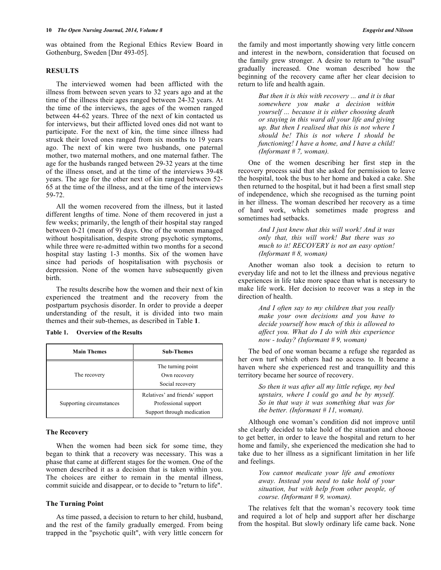was obtained from the Regional Ethics Review Board in Gothenburg, Sweden [Dnr 493-05].

# **RESULTS**

The interviewed women had been afflicted with the illness from between seven years to 32 years ago and at the time of the illness their ages ranged between 24-32 years. At the time of the interviews, the ages of the women ranged between 44-62 years. Three of the next of kin contacted us for interviews, but their afflicted loved ones did not want to participate. For the next of kin, the time since illness had struck their loved ones ranged from six months to 19 years ago. The next of kin were two husbands, one paternal mother, two maternal mothers, and one maternal father. The age for the husbands ranged between 29-32 years at the time of the illness onset, and at the time of the interviews 39-48 years. The age for the other next of kin ranged between 52- 65 at the time of the illness, and at the time of the interviews 59-72.

All the women recovered from the illness, but it lasted different lengths of time. None of them recovered in just a few weeks; primarily, the length of their hospital stay ranged between 0-21 (mean of 9) days. One of the women managed without hospitalisation, despite strong psychotic symptoms, while three were re-admitted within two months for a second hospital stay lasting 1-3 months. Six of the women have since had periods of hospitalisation with psychosis or depression. None of the women have subsequently given birth.

The results describe how the women and their next of kin experienced the treatment and the recovery from the postpartum psychosis disorder. In order to provide a deeper understanding of the result, it is divided into two main themes and their sub-themes, as described in Table **1**.

| <b>Main Themes</b>       | <b>Sub-Themes</b>               |
|--------------------------|---------------------------------|
| The recovery             | The turning point               |
|                          | Own recovery                    |
|                          | Social recovery                 |
| Supporting circumstances | Relatives' and friends' support |
|                          | Professional support            |
|                          | Support through medication      |

#### **Table 1. Overview of the Results**

#### **The Recovery**

When the women had been sick for some time, they began to think that a recovery was necessary. This was a phase that came at different stages for the women. One of the women described it as a decision that is taken within you. The choices are either to remain in the mental illness, commit suicide and disappear, or to decide to "return to life".

#### **The Turning Point**

As time passed, a decision to return to her child, husband, and the rest of the family gradually emerged. From being trapped in the "psychotic quilt", with very little concern for

*But then it is this with recovery ... and it is that somewhere you make a decision within yourself ... because it is either choosing death or staying in this ward all your life and giving up. But then I realised that this is not where I should be! This is not where I should be functioning! I have a home, and I have a child! (Informant # 7, woman).*

One of the women describing her first step in the recovery process said that she asked for permission to leave the hospital, took the bus to her home and baked a cake. She then returned to the hospital, but it had been a first small step of independence, which she recognised as the turning point in her illness. The woman described her recovery as a time of hard work, which sometimes made progress and sometimes had setbacks.

> *And I just knew that this will work! And it was only that, this will work! But there was so much to it! RECOVERY is not an easy option! (Informant # 8, woman)*

Another woman also took a decision to return to everyday life and not to let the illness and previous negative experiences in life take more space than what is necessary to make life work. Her decision to recover was a step in the direction of health.

> *And I often say to my children that you really make your own decisions and you have to decide yourself how much of this is allowed to affect you. What do I do with this experience now - today? (Informant # 9, woman)*

The bed of one woman became a refuge she regarded as her own turf which others had no access to. It became a haven where she experienced rest and tranquillity and this territory became her source of recovery.

> *So then it was after all my little refuge, my bed upstairs, where I could go and be by myself. So in that way it was something that was for the better. (Informant # 11, woman).*

Although one woman's condition did not improve until she clearly decided to take hold of the situation and choose to get better, in order to leave the hospital and return to her home and family, she experienced the medication she had to take due to her illness as a significant limitation in her life and feelings.

> *You cannot medicate your life and emotions away. Instead you need to take hold of your situation, but with help from other people, of course. (Informant # 9, woman).*

The relatives felt that the woman's recovery took time and required a lot of help and support after her discharge from the hospital. But slowly ordinary life came back. None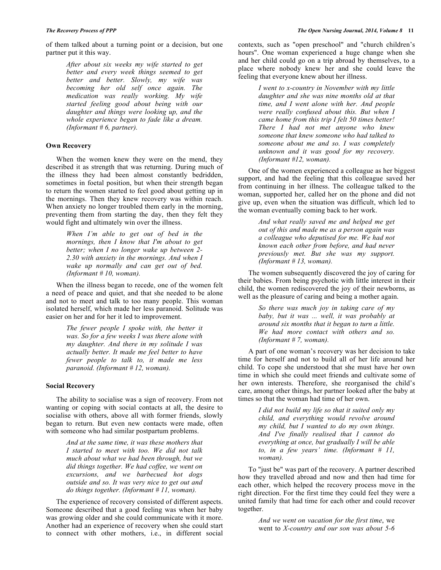of them talked about a turning point or a decision, but one partner put it this way.

> *After about six weeks my wife started to get better and every week things seemed to get better and better. Slowly, my wife was becoming her old self once again. The medication was really working. My wife started feeling good about being with our daughter and things were looking up, and the whole experience began to fade like a dream. (Informant # 6, partner).*

# **Own Recovery**

When the women knew they were on the mend, they described it as strength that was returning. During much of the illness they had been almost constantly bedridden, sometimes in foetal position, but when their strength began to return the women started to feel good about getting up in the mornings. Then they knew recovery was within reach. When anxiety no longer troubled them early in the morning, preventing them from starting the day, then they felt they would fight and ultimately win over the illness.

> *When I'm able to get out of bed in the mornings, then I know that I'm about to get better; when I no longer wake up between 2- 2.30 with anxiety in the mornings. And when I wake up normally and can get out of bed. (Informant # 10, woman).*

When the illness began to recede, one of the women felt a need of peace and quiet, and that she needed to be alone and not to meet and talk to too many people. This woman isolated herself, which made her less paranoid. Solitude was easier on her and for her it led to improvement.

> *The fewer people I spoke with, the better it was. So for a few weeks I was there alone with my daughter. And there in my solitude I was actually better. It made me feel better to have fewer people to talk to, it made me less paranoid. (Informant # 12, woman).*

# **Social Recovery**

The ability to socialise was a sign of recovery. From not wanting or coping with social contacts at all, the desire to socialise with others, above all with former friends, slowly began to return. But even new contacts were made, often with someone who had similar postpartum problems.

> *And at the same time, it was these mothers that I started to meet with too. We did not talk much about what we had been through, but we did things together. We had coffee, we went on excursions, and we barbecued hot dogs outside and so. It was very nice to get out and do things together. (Informant # 11, woman).*

The experience of recovery consisted of different aspects. Someone described that a good feeling was when her baby was growing older and she could communicate with it more. Another had an experience of recovery when she could start to connect with other mothers, i.e., in different social

contexts, such as "open preschool" and "church children's hours". One woman experienced a huge change when she and her child could go on a trip abroad by themselves, to a place where nobody knew her and she could leave the feeling that everyone knew about her illness.

> *I went to x-country in November with my little daughter and she was nine months old at that time, and I went alone with her. And people were really confused about this. But when I came home from this trip I felt 50 times better! There I had not met anyone who knew someone that knew someone who had talked to someone about me and so. I was completely unknown and it was good for my recovery. (Informant #12, woman).*

One of the women experienced a colleague as her biggest support, and had the feeling that this colleague saved her from continuing in her illness. The colleague talked to the woman, supported her, called her on the phone and did not give up, even when the situation was difficult, which led to the woman eventually coming back to her work.

> *And what really saved me and helped me get out of this and made me as a person again was a colleague who deputised for me. We had not known each other from before, and had never previously met. But she was my support. (Informant # 13, woman).*

The women subsequently discovered the joy of caring for their babies. From being psychotic with little interest in their child, the women rediscovered the joy of their newborns, as well as the pleasure of caring and being a mother again.

> *So there was much joy in taking care of my baby, but it was ... well, it was probably at around six months that it began to turn a little. We had more contact with others and so. (Informant # 7, woman).*

A part of one woman's recovery was her decision to take time for herself and not to build all of her life around her child. To cope she understood that she must have her own time in which she could meet friends and cultivate some of her own interests. Therefore, she reorganised the child's care, among other things, her partner looked after the baby at times so that the woman had time of her own.

> *I did not build my life so that it suited only my child, and everything would revolve around my child, but I wanted to do my own things. And I've finally realised that I cannot do everything at once, but gradually I will be able to, in a few years' time. (Informant # 11, woman).*

To "just be" was part of the recovery. A partner described how they travelled abroad and now and then had time for each other, which helped the recovery process move in the right direction. For the first time they could feel they were a united family that had time for each other and could recover together.

> *And we went on vacation for the first time*, we went to *X-country and our son was about 5-6*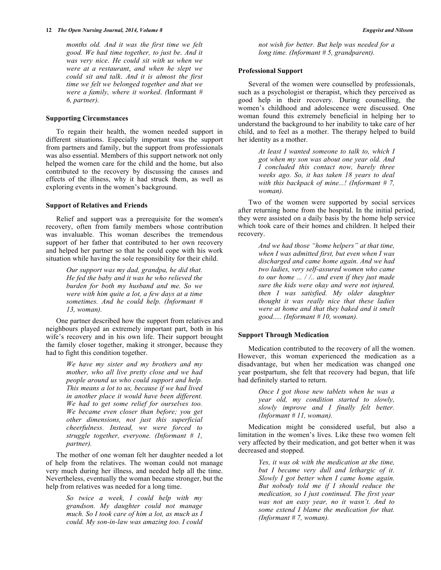*months old. And it was the first time we felt good. We had time together, to just be*. *And it was very nice*. *He could sit with us when we were at a restaurant*, *and when he slept we could sit and talk*. *And it is almost the first time we felt we belonged together and that we were a family, where it worked*. *(*Informant *# 6, partner).*

## **Supporting Circumstances**

To regain their health, the women needed support in different situations. Especially important was the support from partners and family, but the support from professionals was also essential. Members of this support network not only helped the women care for the child and the home, but also contributed to the recovery by discussing the causes and effects of the illness, why it had struck them, as well as exploring events in the women's background.

# **Support of Relatives and Friends**

Relief and support was a prerequisite for the women's recovery, often from family members whose contribution was invaluable. This woman describes the tremendous support of her father that contributed to her own recovery and helped her partner so that he could cope with his work situation while having the sole responsibility for their child.

> *Our support was my dad, grandpa, he did that. He fed the baby and it was he who relieved the burden for both my husband and me. So we were with him quite a lot, a few days at a time sometimes. And he could help. (Informant # 13, woman).*

One partner described how the support from relatives and neighbours played an extremely important part, both in his wife's recovery and in his own life. Their support brought the family closer together, making it stronger, because they had to fight this condition together.

> *We have my sister and my brothers and my mother, who all live pretty close and we had people around us who could support and help. This means a lot to us, because if we had lived in another place it would have been different. We had to get some relief for ourselves too. We became even closer than before; you get other dimensions, not just this superficial cheerfulness. Instead, we were forced to struggle together, everyone. (Informant # 1, partner).*

The mother of one woman felt her daughter needed a lot of help from the relatives. The woman could not manage very much during her illness, and needed help all the time. Nevertheless, eventually the woman became stronger, but the help from relatives was needed for a long time.

> *So twice a week, I could help with my grandson. My daughter could not manage much. So I took care of him a lot, as much as I could. My son-in-law was amazing too. I could*

*not wish for better. But help was needed for a long time. (Informant # 5, grandparent).*

#### **Professional Support**

Several of the women were counselled by professionals, such as a psychologist or therapist, which they perceived as good help in their recovery. During counselling, the women's childhood and adolescence were discussed. One woman found this extremely beneficial in helping her to understand the background to her inability to take care of her child, and to feel as a mother. The therapy helped to build her identity as a mother.

> *At least I wanted someone to talk to, which I got when my son was about one year old. And I concluded this contact now, barely three weeks ago. So, it has taken 18 years to deal with this backpack of mine...! (Informant # 7, woman).*

Two of the women were supported by social services after returning home from the hospital. In the initial period, they were assisted on a daily basis by the home help service which took care of their homes and children. It helped their recovery.

> *And we had those "home helpers" at that time, when I was admitted first, but even when I was discharged and came home again. And we had two ladies, very self-assured women who came to our home ... / /.. and even if they just made sure the kids were okay and were not injured, then I was satisfied. My older daughter thought it was really nice that these ladies were at home and that they baked and it smelt good..... (Informant # 10, woman).*

#### **Support Through Medication**

Medication contributed to the recovery of all the women. However, this woman experienced the medication as a disadvantage, but when her medication was changed one year postpartum, she felt that recovery had begun, that life had definitely started to return.

> *Once I got those new tablets when he was a year old, my condition started to slowly, slowly improve and I finally felt better. (Informant # 11, woman).*

Medication might be considered useful, but also a limitation in the women's lives. Like these two women felt very affected by their medication, and got better when it was decreased and stopped.

> *Yes, it was ok with the medication at the time, but I became very dull and lethargic of it. Slowly I got better when I came home again. But nobody told me if I should reduce the medication, so I just continued. The first year was not an easy year, no it wasn't. And to some extend I blame the medication for that. (Informant # 7, woman).*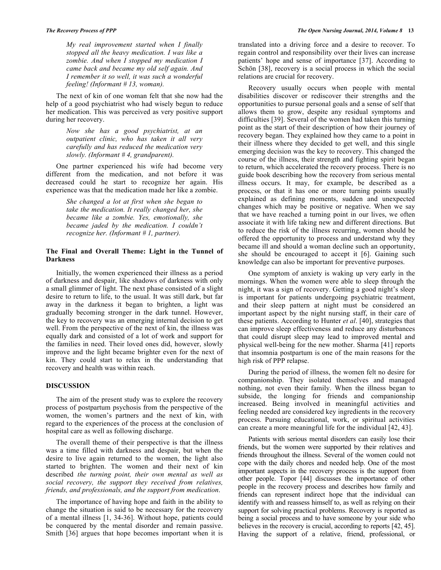*My real improvement started when I finally stopped all the heavy medication. I was like a zombie. And when I stopped my medication I came back and became my old self again. And I remember it so well, it was such a wonderful feeling! (Informant # 13, woman).*

The next of kin of one woman felt that she now had the help of a good psychiatrist who had wisely begun to reduce her medication. This was perceived as very positive support during her recovery.

> *Now she has a good psychiatrist, at an outpatient clinic, who has taken it all very carefully and has reduced the medication very slowly. (Informant # 4, grandparent).*

One partner experienced his wife had become very different from the medication, and not before it was decreased could he start to recognize her again. His experience was that the medication made her like a zombie.

> *She changed a lot at first when she began to take the medication. It really changed her, she became like a zombie. Yes, emotionally, she became jaded by the medication. I couldn't recognize her. (Informant # 1, partner).*

# **The Final and Overall Theme: Light in the Tunnel of Darkness**

Initially, the women experienced their illness as a period of darkness and despair, like shadows of darkness with only a small glimmer of light. The next phase consisted of a slight desire to return to life, to the usual. It was still dark, but far away in the darkness it began to brighten, a light was gradually becoming stronger in the dark tunnel. However, the key to recovery was an emerging internal decision to get well. From the perspective of the next of kin, the illness was equally dark and consisted of a lot of work and support for the families in need. Their loved ones did, however, slowly improve and the light became brighter even for the next of kin. They could start to relax in the understanding that recovery and health was within reach.

# **DISCUSSION**

The aim of the present study was to explore the recovery process of postpartum psychosis from the perspective of the women, the women's partners and the next of kin, with regard to the experiences of the process at the conclusion of hospital care as well as following discharge.

The overall theme of their perspective is that the illness was a time filled with darkness and despair, but when the desire to live again returned to the women, the light also started to brighten. The women and their next of kin described *the turning point, their own mental as well as social recovery, the support they received from relatives, friends, and professionals, and the support from medication*.

The importance of having hope and faith in the ability to change the situation is said to be necessary for the recovery of a mental illness [1, 34-36]. Without hope, patients could be conquered by the mental disorder and remain passive. Smith [36] argues that hope becomes important when it is

translated into a driving force and a desire to recover. To regain control and responsibility over their lives can increase patients' hope and sense of importance [37]. According to Schön [38], recovery is a social process in which the social relations are crucial for recovery.

Recovery usually occurs when people with mental disabilities discover or rediscover their strengths and the opportunities to pursue personal goals and a sense of self that allows them to grow, despite any residual symptoms and difficulties [39]. Several of the women had taken this turning point as the start of their description of how their journey of recovery began. They explained how they came to a point in their illness where they decided to get well, and this single emerging decision was the key to recovery. This changed the course of the illness, their strength and fighting spirit began to return, which accelerated the recovery process. There is no guide book describing how the recovery from serious mental illness occurs. It may, for example, be described as a process, or that it has one or more turning points usually explained as defining moments, sudden and unexpected changes which may be positive or negative. When we say that we have reached a turning point in our lives, we often associate it with life taking new and different directions. But to reduce the risk of the illness recurring, women should be offered the opportunity to process and understand why they became ill and should a woman decline such an opportunity, she should be encouraged to accept it [6]. Gaining such knowledge can also be important for preventive purposes.

One symptom of anxiety is waking up very early in the mornings. When the women were able to sleep through the night, it was a sign of recovery. Getting a good night's sleep is important for patients undergoing psychiatric treatment, and their sleep pattern at night must be considered an important aspect by the night nursing staff, in their care of these patients. According to Hunter *et al*. [40], strategies that can improve sleep effectiveness and reduce any disturbances that could disrupt sleep may lead to improved mental and physical well-being for the new mother. Sharma [41] reports that insomnia postpartum is one of the main reasons for the high risk of PPP relapse.

During the period of illness, the women felt no desire for companionship. They isolated themselves and managed nothing, not even their family. When the illness began to subside, the longing for friends and companionship increased. Being involved in meaningful activities and feeling needed are considered key ingredients in the recovery process. Pursuing educational, work, or spiritual activities can create a more meaningful life for the individual [42, 43].

Patients with serious mental disorders can easily lose their friends, but the women were supported by their relatives and friends throughout the illness. Several of the women could not cope with the daily chores and needed help. One of the most important aspects in the recovery process is the support from other people. Topor [44] discusses the importance of other people in the recovery process and describes how family and friends can represent indirect hope that the individual can identify with and reassess himself to, as well as relying on their support for solving practical problems. Recovery is reported as being a social process and to have someone by your side who believes in the recovery is crucial, according to reports [42, 45]. Having the support of a relative, friend, professional, or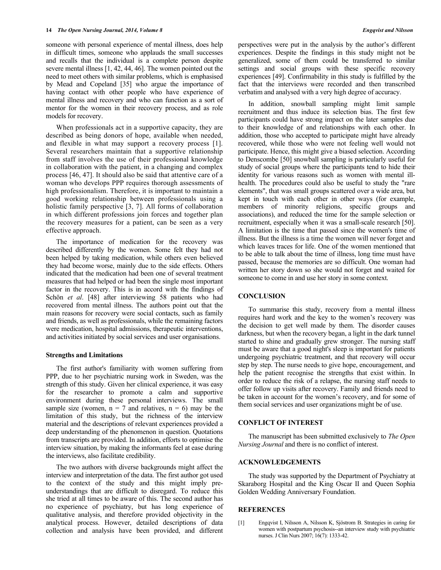someone with personal experience of mental illness, does help in difficult times, someone who applauds the small successes and recalls that the individual is a complete person despite severe mental illness [1, 42, 44, 46]. The women pointed out the need to meet others with similar problems, which is emphasised by Mead and Copeland [35] who argue the importance of having contact with other people who have experience of mental illness and recovery and who can function as a sort of mentor for the women in their recovery process, and as role models for recovery.

When professionals act in a supportive capacity, they are described as being donors of hope, available when needed, and flexible in what may support a recovery process [1]. Several researchers maintain that a supportive relationship from staff involves the use of their professional knowledge in collaboration with the patient, in a changing and complex process [46, 47]. It should also be said that attentive care of a woman who develops PPP requires thorough assessments of high professionalism. Therefore, it is important to maintain a good working relationship between professionals using a holistic family perspective [3, 7]. All forms of collaboration in which different professions join forces and together plan the recovery measures for a patient, can be seen as a very effective approach.

The importance of medication for the recovery was described differently by the women. Some felt they had not been helped by taking medication, while others even believed they had become worse, mainly due to the side effects. Others indicated that the medication had been one of several treatment measures that had helped or had been the single most important factor in the recovery. This is in accord with the findings of Schön *et al*. [48] after interviewing 58 patients who had recovered from mental illness. The authors point out that the main reasons for recovery were social contacts, such as family and friends, as well as professionals, while the remaining factors were medication, hospital admissions, therapeutic interventions, and activities initiated by social services and user organisations.

#### **Strengths and Limitations**

The first author's familiarity with women suffering from PPP, due to her psychiatric nursing work in Sweden, was the strength of this study. Given her clinical experience, it was easy for the researcher to promote a calm and supportive environment during these personal interviews. The small sample size (women,  $n = 7$  and relatives,  $n = 6$ ) may be the limitation of this study, but the richness of the interview material and the descriptions of relevant experiences provided a deep understanding of the phenomenon in question. Quotations from transcripts are provided. In addition, efforts to optimise the interview situation, by making the informants feel at ease during the interviews, also facilitate credibility.

The two authors with diverse backgrounds might affect the interview and interpretation of the data. The first author got used to the context of the study and this might imply preunderstandings that are difficult to disregard. To reduce this she tried at all times to be aware of this. The second author has no experience of psychiatry, but has long experience of qualitative analysis, and therefore provided objectivity in the analytical process. However, detailed descriptions of data collection and analysis have been provided, and different

perspectives were put in the analysis by the author's different experiences. Despite the findings in this study might not be generalized, some of them could be transferred to similar settings and social groups with these specific recovery experiences [49]. Confirmability in this study is fulfilled by the fact that the interviews were recorded and then transcribed verbatim and analysed with a very high degree of accuracy.

In addition, snowball sampling might limit sample recruitment and thus induce its selection bias. The first few participants could have strong impact on the later samples due to their knowledge of and relationships with each other. In addition, those who accepted to participate might have already recovered, while those who were not feeling well would not participate. Hence, this might give a biased selection. According to Denscombe [50] snowball sampling is particularly useful for study of social groups where the participants tend to hide their identity for various reasons such as women with mental illhealth. The procedures could also be useful to study the "rare elements", that was small groups scattered over a wide area, but kept in touch with each other in other ways (for example, members of minority religions, specific groups and associations), and reduced the time for the sample selection or recruitment, especially when it was a small-scale research [50]. A limitation is the time that passed since the women's time of illness. But the illness is a time the women will never forget and which leaves traces for life. One of the women mentioned that to be able to talk about the time of illness, long time must have passed, because the memories are so difficult. One woman had written her story down so she would not forget and waited for someone to come in and use her story in some context.

# **CONCLUSION**

To summarise this study, recovery from a mental illness requires hard work and the key to the women's recovery was the decision to get well made by them. The disorder causes darkness, but when the recovery began, a light in the dark tunnel started to shine and gradually grew stronger. The nursing staff must be aware that a good night's sleep is important for patients undergoing psychiatric treatment, and that recovery will occur step by step. The nurse needs to give hope, encouragement, and help the patient recognise the strengths that exist within. In order to reduce the risk of a relapse, the nursing staff needs to offer follow up visits after recovery. Family and friends need to be taken in account for the women's recovery, and for some of them social services and user organizations might be of use.

#### **CONFLICT OF INTEREST**

The manuscript has been submitted exclusively to *The Open Nursing Journal* and there is no conflict of interest.

#### **ACKNOWLEDGEMENTS**

The study was supported by the Department of Psychiatry at Skaraborg Hospital and the King Oscar II and Queen Sophia Golden Wedding Anniversary Foundation.

# **REFERENCES**

[1] Engqvist I, Nilsson A, Nilsson K, Sjöstrom B. Strategies in caring for women with postpartum psychosis--an interview study with psychiatric nurses. J Clin Nurs 2007; 16(7): 1333-42.